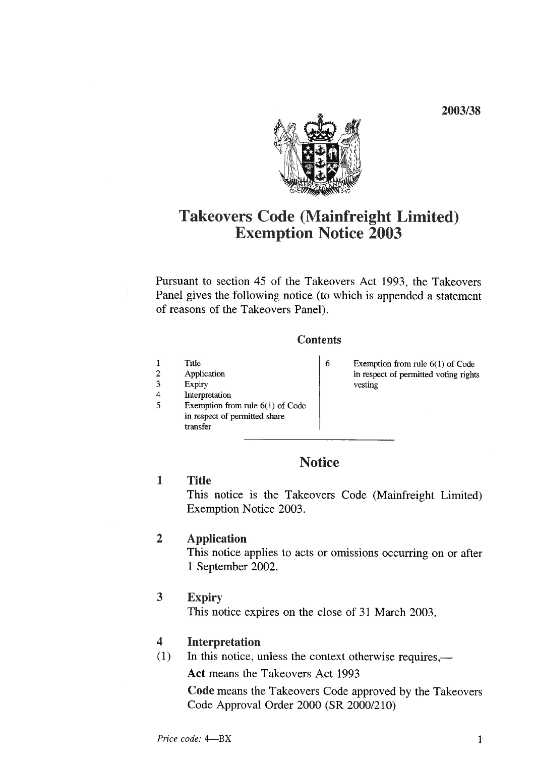2003/38

Takeovers Code (Mainfreight Limited) Exemption Notice 2003

Pursuant to section 45 of the Takeovers Act 1993 the Takeovers Panel gives the following notice (to which is appended a statement of reasons of the Takeovers Panel).

#### **Contents**

6

- 1 Title<br>2 Appl
- 2 Application<br>3 Expiry 3 Expiry<br>4 Interpr
- 4 Interpretation<br>5 Exemption from
- Exemption from rule  $6(1)$  of Code in respect of permitted share transfer

Exemption from rule 6(1) of Code in respect of permitted voting rights vesting

# **Notice**

1 Title

This notice is the Takeovers Code (Mainfreight Limited) Exemption Notice 2003.

# 2 Application

This notice applies to acts or omissions occurring on or after 1 September 2002.

# 3 Expiry

This notice expires on the close of 31 March 2003

# 4 Interpretation

 $(1)$  In this notice, unless the context otherwise requires,—

Act means the Takeovers Act 1993

Code means the Takeovers Code approved by the Takeovers Code Approval Order 2000 (SR 2000/210)

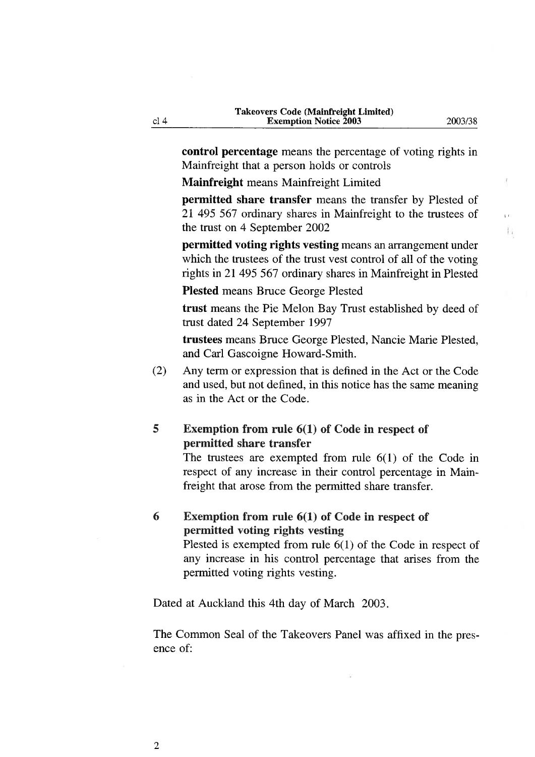$\mathbf{r}$ ħ,

control percentage means the percentage of voting rights in Mainfreight that a person holds or controls

Mainfreight means Mainfreight Limited

permitted share transfer means the transfer by Plested of 21 495 567 ordinary shares in Mainfreight to the tmstees of the tmst on 4 September 2002

permitted voting rights vesting means an arrangement under which the trustees of the trust vest control of all of the voting rights in 21 495 567 ordinary shares in Mainfreight in Plested

PIested means Bmce George Plested

trust means the Pie Melon Bay Trust established by deed of trust dated 24 September 1997

trustees means Bmce George Plested, Nancie Marie Plested, and Carl Gascoigne Howard-Smith.

(2) Any term or expression that is defined in the Act or the Code and used, but not defined, in this notice has the same meaning as in the Act or the Code.

#### 5 Exemption from rule 6(1) of Code in respect of permitted share transfer

The trustees are exempted from rule  $6(1)$  of the Code in respect of any increase in their control percentage in Mainfreight that arose from the permitted share transfer.

# 6 Exemption from rule 6(1) of Code in respect of pennitted voting rights vesting

Plested is exempted from mle 6(1) of the Code in respect of any increase in his control percentage that arises from the permitted voting rights vesting.

Dated at Auckland this 4th day of March 2003.

The Common Seal of the Takeovers Panel was affixed in the presence of:

cl<sub>4</sub>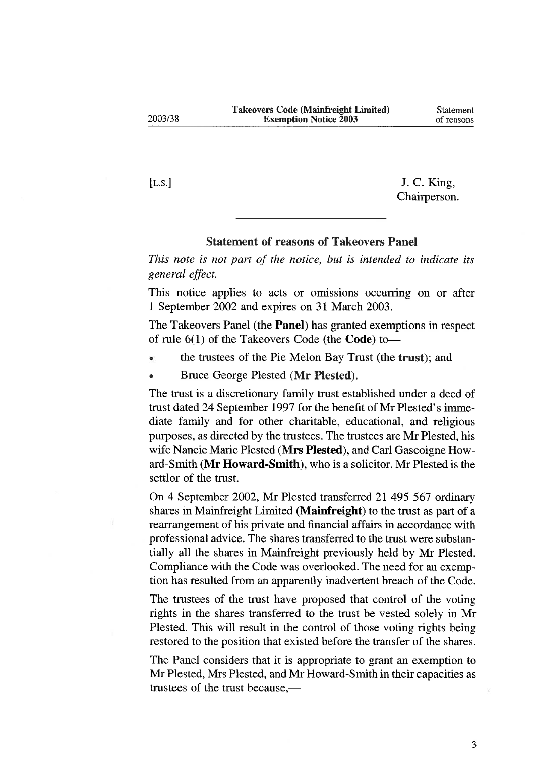[L.S.] J. C. King, Chairperson.

#### Statement of reasons of Takeovers Panel

This note is not part of the notice, but is intended to indicate its general effect.

This notice applies to acts or omissions occurring on or after 1 September 2002 and expires on 31 March 2003.

The Takeovers Panel (the Panel) has granted exemptions in respect of rule  $6(1)$  of the Takeovers Code (the **Code**) to-

- the tmstees of the Pie Melon Bay Tmst (the trust); and
- Bruce George Plested (Mr Plested).

The trust is a discretionary family trust established under a deed of trust dated 24 September 1997 for the benefit of Mr Plested's immediate family and for other charitable, educational, and religious purposes, as directed by the trustees. The trustees are Mr Plested, his wife Nancie Marie Plested (Mrs Plested), and Carl Gascoigne Howard-Smith (Mr Howard-Smith), who is a solicitor. Mr Plested is the settlor of the trust.

On 4 September 2002, Mr Plested transferred 21 495 567 ordinary shares in Mainfreight Limited (Mainfreight) to the trust as part of a rearrangement of his private and financial affairs in accordance with professional advice. The shares transferred to the trust were substantially all the shares in Mainfreight previously held by Mr Plested. Compliance with the Code was overlooked. The need for an exemption has resulted from an apparently inadvertent breach of the Code.

The trustees of the tmst have proposed that control of the voting rights in the shares transferred to the tmst be vested solely in Mr Plested. This will result in the control of those voting rights being restored to the position that existed before the transfer of the shares.

The Panel considers that it is appropriate to grant an exemption to Mr Plested, Mrs Plested, and Mr Howard-Smith in their capacities as trustees of the trust because,—